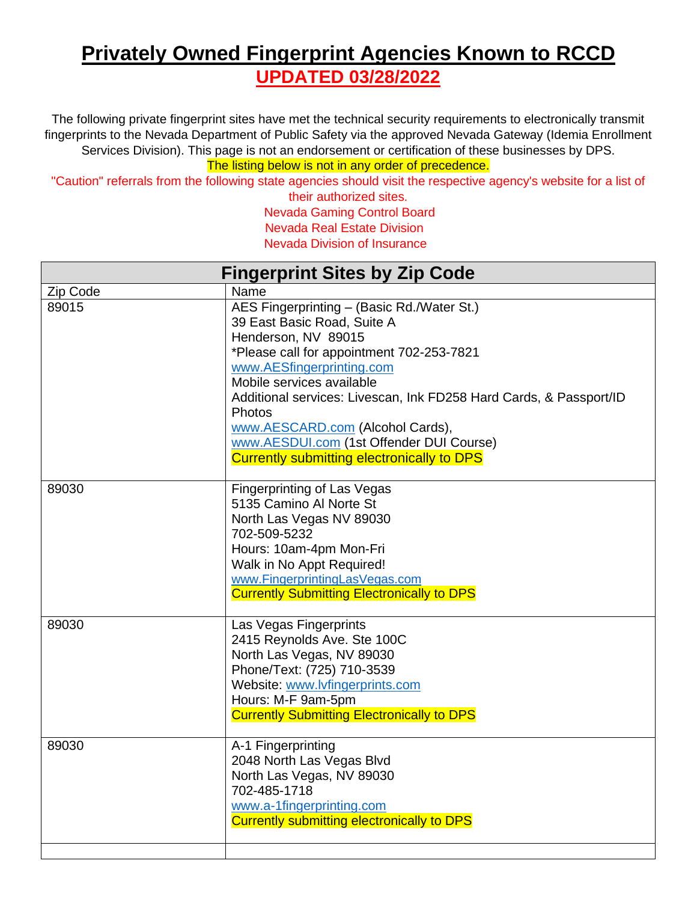## **Privately Owned Fingerprint Agencies Known to RCCD UPDATED 03/28/2022**

The following private fingerprint sites have met the technical security requirements to electronically transmit fingerprints to the Nevada Department of Public Safety via the approved Nevada Gateway (Idemia Enrollment Services Division). This page is not an endorsement or certification of these businesses by DPS.

The listing below is not in any order of precedence.

"Caution" referrals from the following state agencies should visit the respective agency's website for a list of

their authorized sites. Nevada Gaming Control Board Nevada Real Estate Division Nevada Division of Insurance

| <b>Fingerprint Sites by Zip Code</b> |                                                                                                                                                                                                                                                                                                                                                                                                                              |
|--------------------------------------|------------------------------------------------------------------------------------------------------------------------------------------------------------------------------------------------------------------------------------------------------------------------------------------------------------------------------------------------------------------------------------------------------------------------------|
| Zip Code                             | Name                                                                                                                                                                                                                                                                                                                                                                                                                         |
| 89015                                | AES Fingerprinting - (Basic Rd./Water St.)<br>39 East Basic Road, Suite A<br>Henderson, NV 89015<br>*Please call for appointment 702-253-7821<br>www.AESfingerprinting.com<br>Mobile services available<br>Additional services: Livescan, Ink FD258 Hard Cards, & Passport/ID<br>Photos<br>www.AESCARD.com (Alcohol Cards),<br>www.AESDUI.com (1st Offender DUI Course)<br><b>Currently submitting electronically to DPS</b> |
| 89030                                | <b>Fingerprinting of Las Vegas</b><br>5135 Camino Al Norte St<br>North Las Vegas NV 89030<br>702-509-5232<br>Hours: 10am-4pm Mon-Fri<br>Walk in No Appt Required!<br>www.FingerprintingLasVegas.com<br><b>Currently Submitting Electronically to DPS</b>                                                                                                                                                                     |
| 89030                                | Las Vegas Fingerprints<br>2415 Reynolds Ave. Ste 100C<br>North Las Vegas, NV 89030<br>Phone/Text: (725) 710-3539<br>Website: www.lvfingerprints.com<br>Hours: M-F 9am-5pm<br><b>Currently Submitting Electronically to DPS</b>                                                                                                                                                                                               |
| 89030                                | A-1 Fingerprinting<br>2048 North Las Vegas Blvd<br>North Las Vegas, NV 89030<br>702-485-1718<br>www.a-1fingerprinting.com<br><b>Currently submitting electronically to DPS</b>                                                                                                                                                                                                                                               |
|                                      |                                                                                                                                                                                                                                                                                                                                                                                                                              |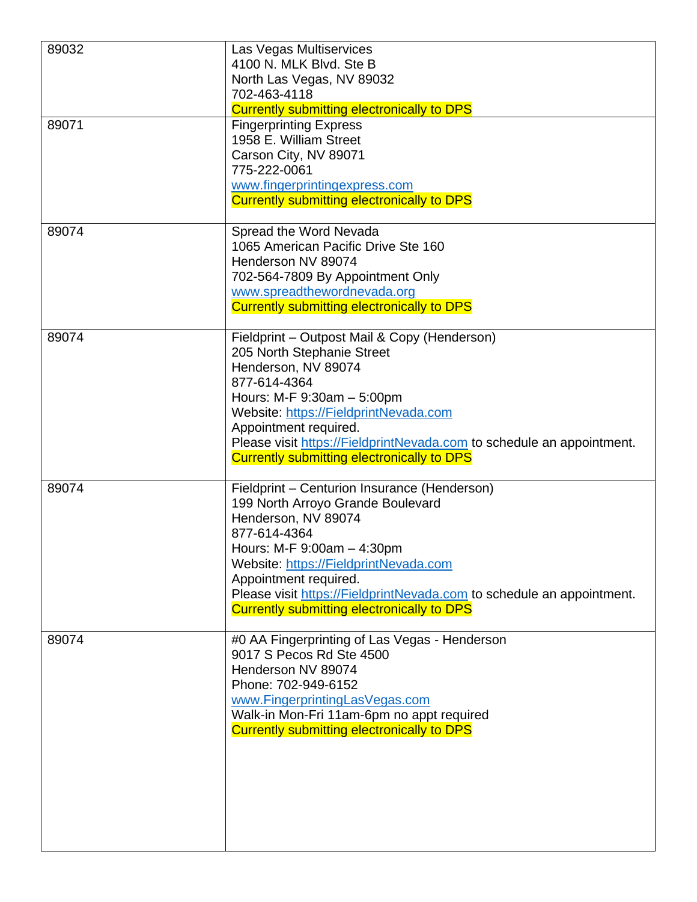| 89032 | Las Vegas Multiservices<br>4100 N. MLK Blvd. Ste B<br>North Las Vegas, NV 89032<br>702-463-4118<br><b>Currently submitting electronically to DPS</b>                                                                                                                                                                                                   |
|-------|--------------------------------------------------------------------------------------------------------------------------------------------------------------------------------------------------------------------------------------------------------------------------------------------------------------------------------------------------------|
| 89071 | <b>Fingerprinting Express</b><br>1958 E. William Street<br>Carson City, NV 89071<br>775-222-0061<br>www.fingerprintingexpress.com<br>Currently submitting electronically to DPS                                                                                                                                                                        |
| 89074 | Spread the Word Nevada<br>1065 American Pacific Drive Ste 160<br>Henderson NV 89074<br>702-564-7809 By Appointment Only<br>www.spreadthewordnevada.org<br><b>Currently submitting electronically to DPS</b>                                                                                                                                            |
| 89074 | Fieldprint - Outpost Mail & Copy (Henderson)<br>205 North Stephanie Street<br>Henderson, NV 89074<br>877-614-4364<br>Hours: M-F 9:30am - 5:00pm<br>Website: https://FieldprintNevada.com<br>Appointment required.<br>Please visit https://FieldprintNevada.com to schedule an appointment.<br><b>Currently submitting electronically to DPS</b>        |
| 89074 | Fieldprint - Centurion Insurance (Henderson)<br>199 North Arroyo Grande Boulevard<br>Henderson, NV 89074<br>877-614-4364<br>Hours: M-F 9:00am - 4:30pm<br>Website: https://FieldprintNevada.com<br>Appointment required.<br>Please visit https://FieldprintNevada.com to schedule an appointment.<br><b>Currently submitting electronically to DPS</b> |
| 89074 | #0 AA Fingerprinting of Las Vegas - Henderson<br>9017 S Pecos Rd Ste 4500<br>Henderson NV 89074<br>Phone: 702-949-6152<br>www.FingerprintingLasVegas.com<br>Walk-in Mon-Fri 11am-6pm no appt required<br><b>Currently submitting electronically to DPS</b>                                                                                             |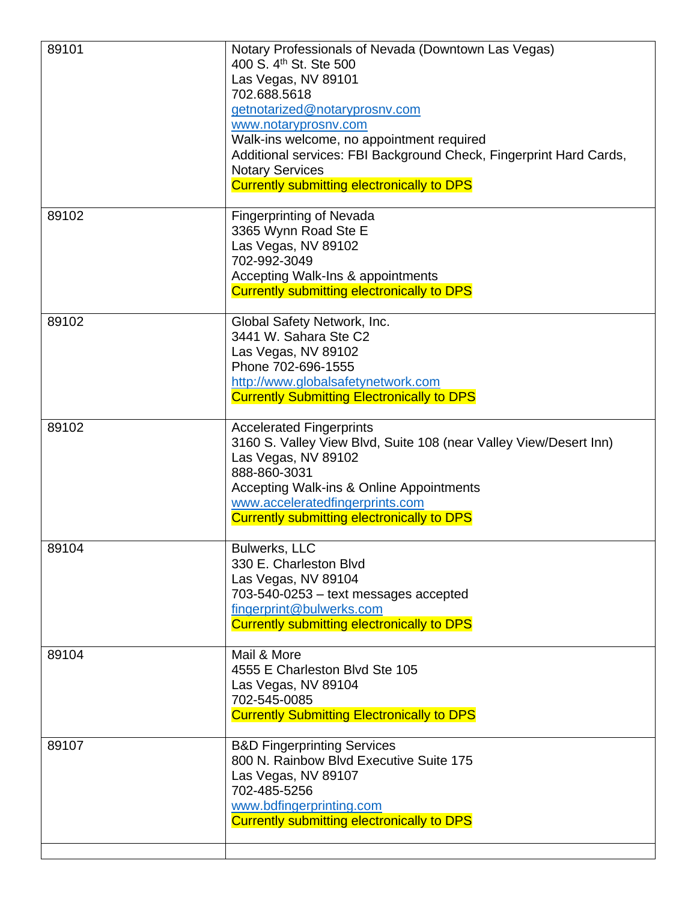| 89101 | Notary Professionals of Nevada (Downtown Las Vegas)<br>400 S. 4th St. Ste 500<br>Las Vegas, NV 89101<br>702.688.5618<br>getnotarized@notaryprosnv.com<br>www.notaryprosnv.com<br>Walk-ins welcome, no appointment required<br>Additional services: FBI Background Check, Fingerprint Hard Cards,<br><b>Notary Services</b><br><b>Currently submitting electronically to DPS</b> |
|-------|---------------------------------------------------------------------------------------------------------------------------------------------------------------------------------------------------------------------------------------------------------------------------------------------------------------------------------------------------------------------------------|
| 89102 | <b>Fingerprinting of Nevada</b><br>3365 Wynn Road Ste E<br>Las Vegas, NV 89102<br>702-992-3049<br>Accepting Walk-Ins & appointments<br><b>Currently submitting electronically to DPS</b>                                                                                                                                                                                        |
| 89102 | Global Safety Network, Inc.<br>3441 W. Sahara Ste C2<br>Las Vegas, NV 89102<br>Phone 702-696-1555<br>http://www.globalsafetynetwork.com<br><b>Currently Submitting Electronically to DPS</b>                                                                                                                                                                                    |
| 89102 | <b>Accelerated Fingerprints</b><br>3160 S. Valley View Blvd, Suite 108 (near Valley View/Desert Inn)<br>Las Vegas, NV 89102<br>888-860-3031<br>Accepting Walk-ins & Online Appointments<br>www.acceleratedfingerprints.com<br><b>Currently submitting electronically to DPS</b>                                                                                                 |
| 89104 | <b>Bulwerks, LLC</b><br>330 E. Charleston Blvd<br>Las Vegas, NV 89104<br>703-540-0253 - text messages accepted<br>fingerprint@bulwerks.com<br><b>Currently submitting electronically to DPS</b>                                                                                                                                                                                 |
| 89104 | Mail & More<br>4555 E Charleston Blvd Ste 105<br>Las Vegas, NV 89104<br>702-545-0085<br><b>Currently Submitting Electronically to DPS</b>                                                                                                                                                                                                                                       |
| 89107 | <b>B&amp;D Fingerprinting Services</b><br>800 N. Rainbow Blvd Executive Suite 175<br>Las Vegas, NV 89107<br>702-485-5256<br>www.bdfingerprinting.com<br><b>Currently submitting electronically to DPS</b>                                                                                                                                                                       |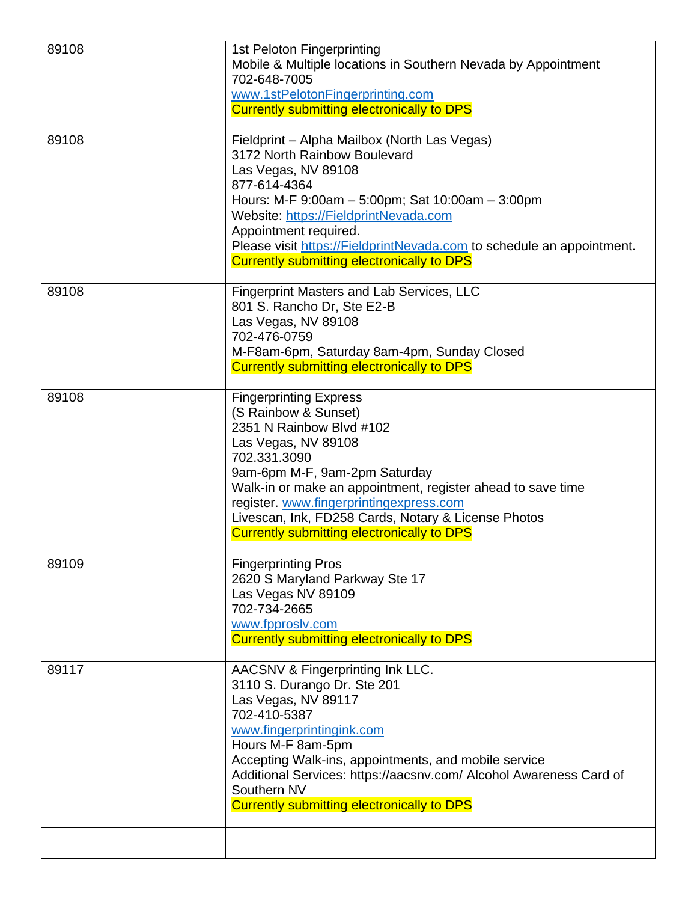| 89108 | 1st Peloton Fingerprinting<br>Mobile & Multiple locations in Southern Nevada by Appointment<br>702-648-7005<br>www.1stPelotonFingerprinting.com<br><b>Currently submitting electronically to DPS</b>                                                                                                                                                                            |
|-------|---------------------------------------------------------------------------------------------------------------------------------------------------------------------------------------------------------------------------------------------------------------------------------------------------------------------------------------------------------------------------------|
| 89108 | Fieldprint - Alpha Mailbox (North Las Vegas)<br>3172 North Rainbow Boulevard<br>Las Vegas, NV 89108<br>877-614-4364<br>Hours: M-F 9:00am - 5:00pm; Sat 10:00am - 3:00pm<br>Website: https://FieldprintNevada.com<br>Appointment required.<br>Please visit https://FieldprintNevada.com to schedule an appointment.<br><b>Currently submitting electronically to DPS</b>         |
| 89108 | <b>Fingerprint Masters and Lab Services, LLC</b><br>801 S. Rancho Dr, Ste E2-B<br>Las Vegas, NV 89108<br>702-476-0759<br>M-F8am-6pm, Saturday 8am-4pm, Sunday Closed<br><b>Currently submitting electronically to DPS</b>                                                                                                                                                       |
| 89108 | <b>Fingerprinting Express</b><br>(S Rainbow & Sunset)<br>2351 N Rainbow Blvd #102<br>Las Vegas, NV 89108<br>702.331.3090<br>9am-6pm M-F, 9am-2pm Saturday<br>Walk-in or make an appointment, register ahead to save time<br>register. www.fingerprintingexpress.com<br>Livescan, Ink, FD258 Cards, Notary & License Photos<br><b>Currently submitting electronically to DPS</b> |
| 89109 | <b>Fingerprinting Pros</b><br>2620 S Maryland Parkway Ste 17<br>Las Vegas NV 89109<br>702-734-2665<br>www.fpproslv.com<br><b>Currently submitting electronically to DPS</b>                                                                                                                                                                                                     |
| 89117 | AACSNV & Fingerprinting Ink LLC.<br>3110 S. Durango Dr. Ste 201<br>Las Vegas, NV 89117<br>702-410-5387<br>www.fingerprintingink.com<br>Hours M-F 8am-5pm<br>Accepting Walk-ins, appointments, and mobile service<br>Additional Services: https://aacsnv.com/ Alcohol Awareness Card of<br>Southern NV<br><b>Currently submitting electronically to DPS</b>                      |
|       |                                                                                                                                                                                                                                                                                                                                                                                 |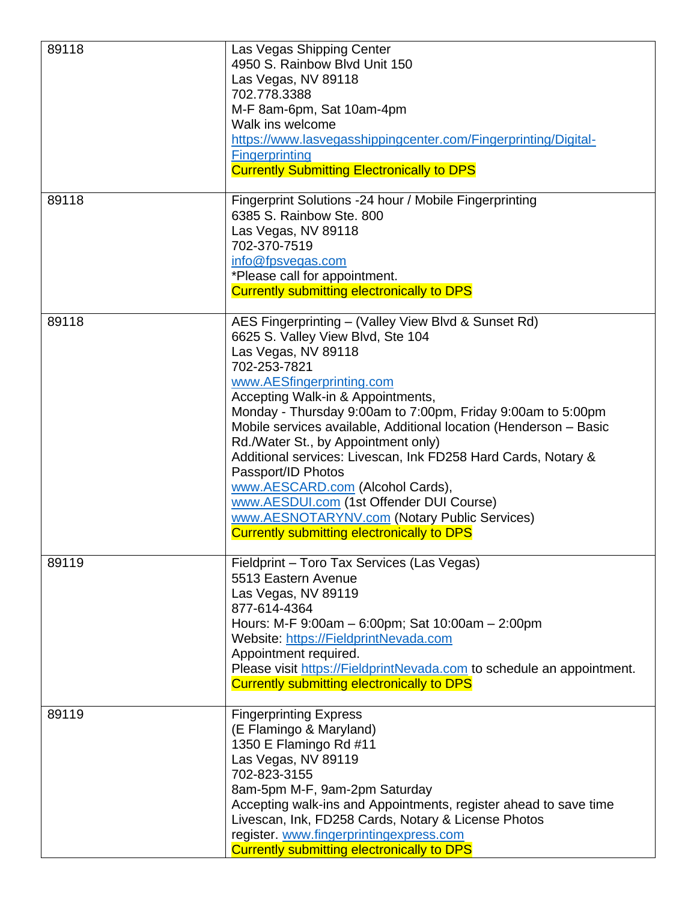| 89118 | Las Vegas Shipping Center<br>4950 S. Rainbow Blvd Unit 150<br>Las Vegas, NV 89118<br>702.778.3388<br>M-F 8am-6pm, Sat 10am-4pm<br>Walk ins welcome<br>https://www.lasvegasshippingcenter.com/Fingerprinting/Digital-<br><b>Fingerprinting</b><br><b>Currently Submitting Electronically to DPS</b>                                                                                                                                                                                                                                                                                                                                                       |
|-------|----------------------------------------------------------------------------------------------------------------------------------------------------------------------------------------------------------------------------------------------------------------------------------------------------------------------------------------------------------------------------------------------------------------------------------------------------------------------------------------------------------------------------------------------------------------------------------------------------------------------------------------------------------|
| 89118 | Fingerprint Solutions -24 hour / Mobile Fingerprinting<br>6385 S. Rainbow Ste. 800<br>Las Vegas, NV 89118<br>702-370-7519<br>info@fpsvegas.com<br>*Please call for appointment.<br><b>Currently submitting electronically to DPS</b>                                                                                                                                                                                                                                                                                                                                                                                                                     |
| 89118 | AES Fingerprinting - (Valley View Blvd & Sunset Rd)<br>6625 S. Valley View Blvd, Ste 104<br>Las Vegas, NV 89118<br>702-253-7821<br>www.AESfingerprinting.com<br>Accepting Walk-in & Appointments,<br>Monday - Thursday 9:00am to 7:00pm, Friday 9:00am to 5:00pm<br>Mobile services available, Additional location (Henderson - Basic<br>Rd./Water St., by Appointment only)<br>Additional services: Livescan, Ink FD258 Hard Cards, Notary &<br>Passport/ID Photos<br>www.AESCARD.com (Alcohol Cards),<br>www.AESDUI.com (1st Offender DUI Course)<br>www.AESNOTARYNV.com (Notary Public Services)<br><b>Currently submitting electronically to DPS</b> |
| 89119 | Fieldprint - Toro Tax Services (Las Vegas)<br>5513 Eastern Avenue<br>Las Vegas, NV 89119<br>877-614-4364<br>Hours: M-F 9:00am - 6:00pm; Sat 10:00am - 2:00pm<br>Website: https://FieldprintNevada.com<br>Appointment required.<br>Please visit https://FieldprintNevada.com to schedule an appointment.<br><b>Currently submitting electronically to DPS</b>                                                                                                                                                                                                                                                                                             |
| 89119 | <b>Fingerprinting Express</b><br>(E Flamingo & Maryland)<br>1350 E Flamingo Rd #11<br>Las Vegas, NV 89119<br>702-823-3155<br>8am-5pm M-F, 9am-2pm Saturday<br>Accepting walk-ins and Appointments, register ahead to save time<br>Livescan, Ink, FD258 Cards, Notary & License Photos<br>register. www.fingerprintingexpress.com<br><b>Currently submitting electronically to DPS</b>                                                                                                                                                                                                                                                                    |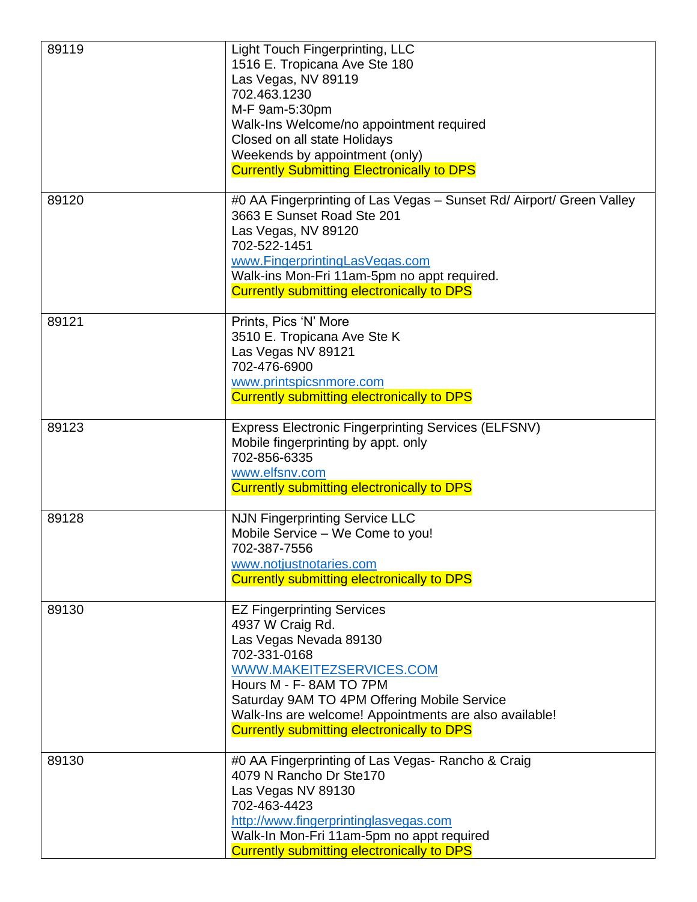| 89119 | Light Touch Fingerprinting, LLC<br>1516 E. Tropicana Ave Ste 180<br>Las Vegas, NV 89119<br>702.463.1230<br>M-F 9am-5:30pm<br>Walk-Ins Welcome/no appointment required<br>Closed on all state Holidays<br>Weekends by appointment (only)<br><b>Currently Submitting Electronically to DPS</b>                        |
|-------|---------------------------------------------------------------------------------------------------------------------------------------------------------------------------------------------------------------------------------------------------------------------------------------------------------------------|
| 89120 | #0 AA Fingerprinting of Las Vegas - Sunset Rd/ Airport/ Green Valley<br>3663 E Sunset Road Ste 201<br>Las Vegas, NV 89120<br>702-522-1451<br>www.FingerprintingLasVegas.com<br>Walk-ins Mon-Fri 11am-5pm no appt required.<br>Currently submitting electronically to DPS                                            |
| 89121 | Prints, Pics 'N' More<br>3510 E. Tropicana Ave Ste K<br>Las Vegas NV 89121<br>702-476-6900<br>www.printspicsnmore.com<br><b>Currently submitting electronically to DPS</b>                                                                                                                                          |
| 89123 | <b>Express Electronic Fingerprinting Services (ELFSNV)</b><br>Mobile fingerprinting by appt. only<br>702-856-6335<br>www.elfsnv.com<br><b>Currently submitting electronically to DPS</b>                                                                                                                            |
| 89128 | <b>NJN Fingerprinting Service LLC</b><br>Mobile Service - We Come to you!<br>702-387-7556<br>www.notjustnotaries.com<br><b>Currently submitting electronically to DPS</b>                                                                                                                                           |
| 89130 | <b>EZ Fingerprinting Services</b><br>4937 W Craig Rd.<br>Las Vegas Nevada 89130<br>702-331-0168<br>WWW.MAKEITEZSERVICES.COM<br>Hours M - F-8AM TO 7PM<br>Saturday 9AM TO 4PM Offering Mobile Service<br>Walk-Ins are welcome! Appointments are also available!<br><b>Currently submitting electronically to DPS</b> |
| 89130 | #0 AA Fingerprinting of Las Vegas- Rancho & Craig<br>4079 N Rancho Dr Ste170<br>Las Vegas NV 89130<br>702-463-4423<br>http://www.fingerprintinglasvegas.com<br>Walk-In Mon-Fri 11am-5pm no appt required<br><b>Currently submitting electronically to DPS</b>                                                       |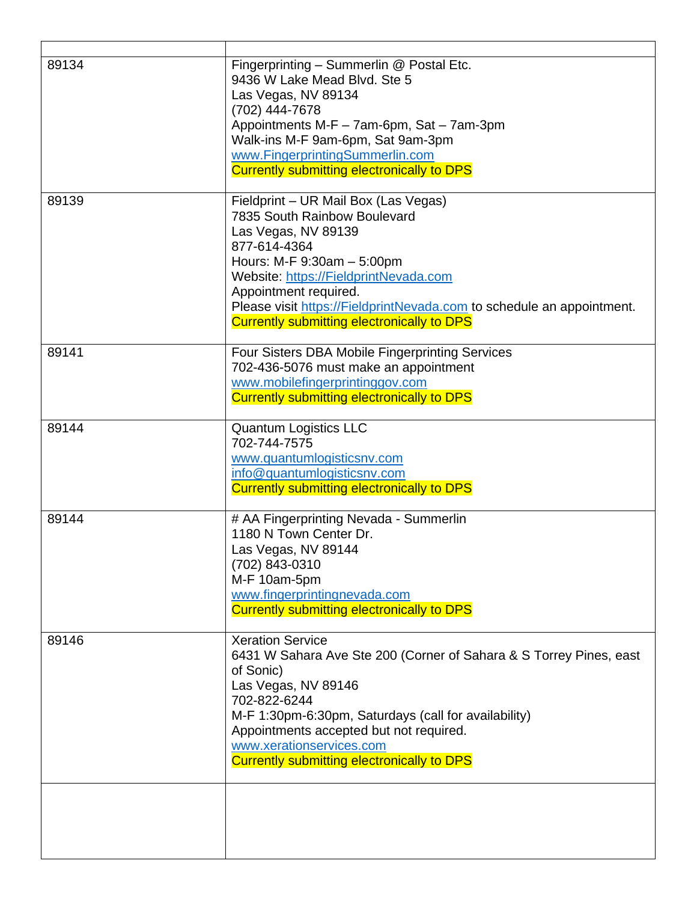| 89134 | Fingerprinting - Summerlin @ Postal Etc.<br>9436 W Lake Mead Blvd. Ste 5<br>Las Vegas, NV 89134<br>(702) 444-7678<br>Appointments M-F - 7am-6pm, Sat - 7am-3pm<br>Walk-ins M-F 9am-6pm, Sat 9am-3pm<br>www.FingerprintingSummerlin.com<br>Currently submitting electronically to DPS                                                      |
|-------|-------------------------------------------------------------------------------------------------------------------------------------------------------------------------------------------------------------------------------------------------------------------------------------------------------------------------------------------|
| 89139 | Fieldprint - UR Mail Box (Las Vegas)<br>7835 South Rainbow Boulevard<br>Las Vegas, NV 89139<br>877-614-4364<br>Hours: M-F 9:30am - 5:00pm<br>Website: https://FieldprintNevada.com<br>Appointment required.<br>Please visit https://FieldprintNevada.com to schedule an appointment.<br><b>Currently submitting electronically to DPS</b> |
| 89141 | Four Sisters DBA Mobile Fingerprinting Services<br>702-436-5076 must make an appointment<br>www.mobilefingerprintinggov.com<br><b>Currently submitting electronically to DPS</b>                                                                                                                                                          |
| 89144 | <b>Quantum Logistics LLC</b><br>702-744-7575<br>www.quantumlogisticsnv.com<br>info@quantumlogisticsnv.com<br><b>Currently submitting electronically to DPS</b>                                                                                                                                                                            |
| 89144 | # AA Fingerprinting Nevada - Summerlin<br>1180 N Town Center Dr.<br>Las Vegas, NV 89144<br>(702) 843-0310<br>M-F 10am-5pm<br>www.fingerprintingnevada.com<br><b>Currently submitting electronically to DPS</b>                                                                                                                            |
| 89146 | <b>Xeration Service</b><br>6431 W Sahara Ave Ste 200 (Corner of Sahara & S Torrey Pines, east<br>of Sonic)<br>Las Vegas, NV 89146<br>702-822-6244<br>M-F 1:30pm-6:30pm, Saturdays (call for availability)<br>Appointments accepted but not required.<br>www.xerationservices.com<br><b>Currently submitting electronically to DPS</b>     |
|       |                                                                                                                                                                                                                                                                                                                                           |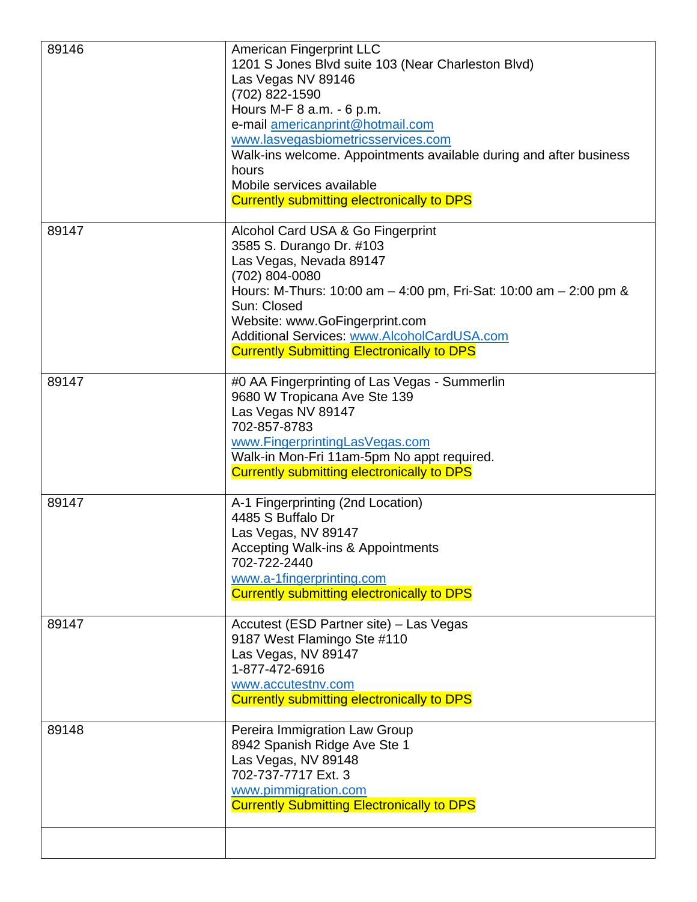| 89146 | American Fingerprint LLC<br>1201 S Jones Blvd suite 103 (Near Charleston Blvd)<br>Las Vegas NV 89146<br>(702) 822-1590<br>Hours M-F 8 a.m. - 6 p.m.<br>e-mail americanprint@hotmail.com<br>www.lasvegasbiometricsservices.com<br>Walk-ins welcome. Appointments available during and after business<br>hours<br>Mobile services available<br><b>Currently submitting electronically to DPS</b> |
|-------|------------------------------------------------------------------------------------------------------------------------------------------------------------------------------------------------------------------------------------------------------------------------------------------------------------------------------------------------------------------------------------------------|
| 89147 | Alcohol Card USA & Go Fingerprint<br>3585 S. Durango Dr. #103<br>Las Vegas, Nevada 89147<br>(702) 804-0080<br>Hours: M-Thurs: 10:00 am $-$ 4:00 pm, Fri-Sat: 10:00 am $-$ 2:00 pm &<br>Sun: Closed<br>Website: www.GoFingerprint.com<br>Additional Services: www.AlcoholCardUSA.com<br><b>Currently Submitting Electronically to DPS</b>                                                       |
| 89147 | #0 AA Fingerprinting of Las Vegas - Summerlin<br>9680 W Tropicana Ave Ste 139<br>Las Vegas NV 89147<br>702-857-8783<br>www.FingerprintingLasVegas.com<br>Walk-in Mon-Fri 11am-5pm No appt required.<br><b>Currently submitting electronically to DPS</b>                                                                                                                                       |
| 89147 | A-1 Fingerprinting (2nd Location)<br>4485 S Buffalo Dr<br>Las Vegas, NV 89147<br><b>Accepting Walk-ins &amp; Appointments</b><br>702-722-2440<br>www.a-1fingerprinting.com<br><b>Currently submitting electronically to DPS</b>                                                                                                                                                                |
| 89147 | Accutest (ESD Partner site) - Las Vegas<br>9187 West Flamingo Ste #110<br>Las Vegas, NV 89147<br>1-877-472-6916<br>www.accutestnv.com<br><b>Currently submitting electronically to DPS</b>                                                                                                                                                                                                     |
| 89148 | Pereira Immigration Law Group<br>8942 Spanish Ridge Ave Ste 1<br>Las Vegas, NV 89148<br>702-737-7717 Ext. 3<br>www.pimmigration.com<br><b>Currently Submitting Electronically to DPS</b>                                                                                                                                                                                                       |
|       |                                                                                                                                                                                                                                                                                                                                                                                                |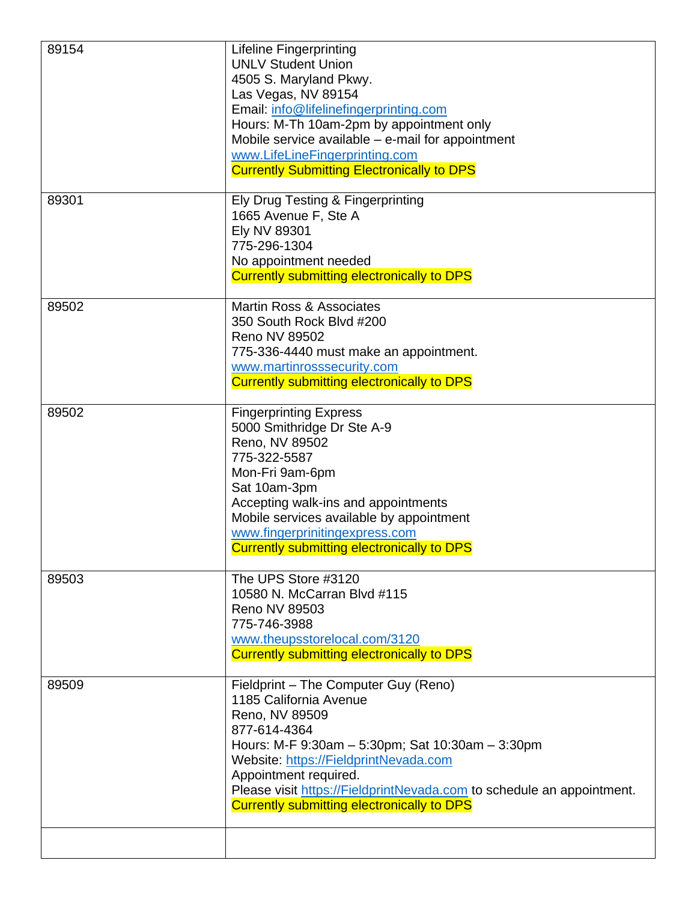| 89154 | <b>Lifeline Fingerprinting</b><br><b>UNLV Student Union</b><br>4505 S. Maryland Pkwy.<br>Las Vegas, NV 89154<br>Email: info@lifelinefingerprinting.com<br>Hours: M-Th 10am-2pm by appointment only<br>Mobile service available $-$ e-mail for appointment<br>www.LifeLineFingerprinting.com<br><b>Currently Submitting Electronically to DPS</b>     |
|-------|------------------------------------------------------------------------------------------------------------------------------------------------------------------------------------------------------------------------------------------------------------------------------------------------------------------------------------------------------|
| 89301 | Ely Drug Testing & Fingerprinting<br>1665 Avenue F, Ste A<br>Ely NV 89301<br>775-296-1304<br>No appointment needed<br><b>Currently submitting electronically to DPS</b>                                                                                                                                                                              |
| 89502 | Martin Ross & Associates<br>350 South Rock Blvd #200<br><b>Reno NV 89502</b><br>775-336-4440 must make an appointment.<br>www.martinrosssecurity.com<br><b>Currently submitting electronically to DPS</b>                                                                                                                                            |
| 89502 | <b>Fingerprinting Express</b><br>5000 Smithridge Dr Ste A-9<br>Reno, NV 89502<br>775-322-5587<br>Mon-Fri 9am-6pm<br>Sat 10am-3pm<br>Accepting walk-ins and appointments<br>Mobile services available by appointment<br>www.fingerprinitingexpress.com<br><b>Currently submitting electronically to DPS</b>                                           |
| 89503 | The UPS Store #3120<br>10580 N. McCarran Blvd #115<br>Reno NV 89503<br>775-746-3988<br>www.theupsstorelocal.com/3120<br><b>Currently submitting electronically to DPS</b>                                                                                                                                                                            |
| 89509 | Fieldprint - The Computer Guy (Reno)<br>1185 California Avenue<br>Reno, NV 89509<br>877-614-4364<br>Hours: M-F 9:30am - 5:30pm; Sat 10:30am - 3:30pm<br>Website: https://FieldprintNevada.com<br>Appointment required.<br>Please visit https://FieldprintNevada.com to schedule an appointment.<br><b>Currently submitting electronically to DPS</b> |